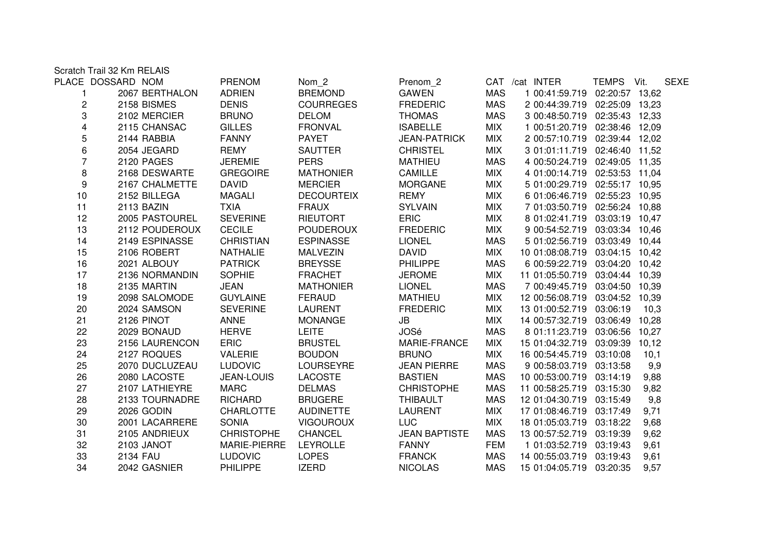|                         | Scratch Trail 32 Km RELAIS |                   |                   |                      |            |                                |                |             |
|-------------------------|----------------------------|-------------------|-------------------|----------------------|------------|--------------------------------|----------------|-------------|
|                         | PLACE DOSSARD NOM          | PRENOM            | Nom 2             | Prenom 2             |            | CAT /cat INTER                 | TEMPS Vit.     | <b>SEXE</b> |
|                         | 2067 BERTHALON             | <b>ADRIEN</b>     | <b>BREMOND</b>    | <b>GAWEN</b>         | <b>MAS</b> | 1 00:41:59.719                 | 02:20:57 13,62 |             |
| $\overline{c}$          | 2158 BISMES                | <b>DENIS</b>      | <b>COURREGES</b>  | <b>FREDERIC</b>      | <b>MAS</b> | 2 00:44:39.719 02:25:09 13,23  |                |             |
| 3                       | 2102 MERCIER               | <b>BRUNO</b>      | <b>DELOM</b>      | <b>THOMAS</b>        | <b>MAS</b> | 3 00:48:50.719 02:35:43 12,33  |                |             |
| $\overline{\mathbf{4}}$ | 2115 CHANSAC               | <b>GILLES</b>     | <b>FRONVAL</b>    | <b>ISABELLE</b>      | <b>MIX</b> | 1 00:51:20.719 02:38:46 12,09  |                |             |
| 5                       | 2144 RABBIA                | <b>FANNY</b>      | <b>PAYET</b>      | <b>JEAN-PATRICK</b>  | <b>MIX</b> | 2 00:57:10.719 02:39:44 12,02  |                |             |
| $\,6$                   | 2054 JEGARD                | <b>REMY</b>       | <b>SAUTTER</b>    | <b>CHRISTEL</b>      | <b>MIX</b> | 3 01:01:11.719 02:46:40 11,52  |                |             |
| $\overline{7}$          | <b>2120 PAGES</b>          | <b>JEREMIE</b>    | <b>PERS</b>       | <b>MATHIEU</b>       | <b>MAS</b> | 4 00:50:24.719 02:49:05 11,35  |                |             |
| 8                       | 2168 DESWARTE              | <b>GREGOIRE</b>   | <b>MATHONIER</b>  | <b>CAMILLE</b>       | <b>MIX</b> | 4 01:00:14.719 02:53:53 11,04  |                |             |
| $\boldsymbol{9}$        | 2167 CHALMETTE             | <b>DAVID</b>      | <b>MERCIER</b>    | <b>MORGANE</b>       | <b>MIX</b> | 5 01:00:29.719 02:55:17 10,95  |                |             |
| 10                      | 2152 BILLEGA               | <b>MAGALI</b>     | <b>DECOURTEIX</b> | <b>REMY</b>          | <b>MIX</b> | 6 01:06:46.719 02:55:23 10,95  |                |             |
| 11                      | 2113 BAZIN                 | <b>TXIA</b>       | <b>FRAUX</b>      | <b>SYLVAIN</b>       | <b>MIX</b> | 7 01:03:50.719 02:56:24 10,88  |                |             |
| 12                      | 2005 PASTOUREL             | <b>SEVERINE</b>   | <b>RIEUTORT</b>   | <b>ERIC</b>          | <b>MIX</b> | 8 01:02:41.719 03:03:19 10,47  |                |             |
| 13                      | 2112 POUDEROUX             | <b>CECILE</b>     | <b>POUDEROUX</b>  | <b>FREDERIC</b>      | <b>MIX</b> | 9 00:54:52.719 03:03:34 10,46  |                |             |
| 14                      | 2149 ESPINASSE             | <b>CHRISTIAN</b>  | <b>ESPINASSE</b>  | <b>LIONEL</b>        | <b>MAS</b> | 5 01:02:56.719 03:03:49 10,44  |                |             |
| 15                      | 2106 ROBERT                | <b>NATHALIE</b>   | <b>MALVEZIN</b>   | <b>DAVID</b>         | <b>MIX</b> | 10 01:08:08.719 03:04:15 10,42 |                |             |
| 16                      | 2021 ALBOUY                | <b>PATRICK</b>    | <b>BREYSSE</b>    | <b>PHILIPPE</b>      | <b>MAS</b> | 6 00:59:22.719 03:04:20 10,42  |                |             |
| 17                      | 2136 NORMANDIN             | <b>SOPHIE</b>     | <b>FRACHET</b>    | <b>JEROME</b>        | <b>MIX</b> | 11 01:05:50.719 03:04:44 10,39 |                |             |
| 18                      | 2135 MARTIN                | <b>JEAN</b>       | <b>MATHONIER</b>  | <b>LIONEL</b>        | <b>MAS</b> | 7 00:49:45.719 03:04:50 10,39  |                |             |
| 19                      | 2098 SALOMODE              | <b>GUYLAINE</b>   | <b>FERAUD</b>     | <b>MATHIEU</b>       | <b>MIX</b> | 12 00:56:08.719 03:04:52 10,39 |                |             |
| 20                      | 2024 SAMSON                | <b>SEVERINE</b>   | <b>LAURENT</b>    | <b>FREDERIC</b>      | <b>MIX</b> | 13 01:00:52.719 03:06:19       |                | 10,3        |
| 21                      | 2126 PINOT                 | <b>ANNE</b>       | <b>MONANGE</b>    | JB                   | <b>MIX</b> | 14 00:57:32.719 03:06:49 10,28 |                |             |
| 22                      | 2029 BONAUD                | <b>HERVE</b>      | <b>LEITE</b>      | <b>JOSé</b>          | <b>MAS</b> | 8 01:11:23.719 03:06:56 10,27  |                |             |
| 23                      | 2156 LAURENCON             | ERIC              | <b>BRUSTEL</b>    | MARIE-FRANCE         | <b>MIX</b> | 15 01:04:32.719 03:09:39 10,12 |                |             |
| 24                      | 2127 ROQUES                | <b>VALERIE</b>    | <b>BOUDON</b>     | <b>BRUNO</b>         | <b>MIX</b> | 16 00:54:45.719 03:10:08       |                | 10,1        |
| 25                      | 2070 DUCLUZEAU             | <b>LUDOVIC</b>    | <b>LOURSEYRE</b>  | <b>JEAN PIERRE</b>   | <b>MAS</b> | 9 00:58:03.719 03:13:58        |                | 9,9         |
| 26                      | 2080 LACOSTE               | <b>JEAN-LOUIS</b> | <b>LACOSTE</b>    | <b>BASTIEN</b>       | <b>MAS</b> | 10 00:53:00.719 03:14:19       |                | 9,88        |
| 27                      | 2107 LATHIEYRE             | <b>MARC</b>       | <b>DELMAS</b>     | <b>CHRISTOPHE</b>    | <b>MAS</b> | 11 00:58:25.719 03:15:30       |                | 9,82        |
| 28                      | 2133 TOURNADRE             | <b>RICHARD</b>    | <b>BRUGERE</b>    | <b>THIBAULT</b>      | <b>MAS</b> | 12 01:04:30.719 03:15:49       |                | 9,8         |
| 29                      | 2026 GODIN                 | <b>CHARLOTTE</b>  | <b>AUDINETTE</b>  | <b>LAURENT</b>       | <b>MIX</b> | 17 01:08:46.719 03:17:49       |                | 9,71        |
| 30                      | 2001 LACARRERE             | <b>SONIA</b>      | <b>VIGOUROUX</b>  | <b>LUC</b>           | <b>MIX</b> | 18 01:05:03.719 03:18:22       |                | 9,68        |
| 31                      | 2105 ANDRIEUX              | <b>CHRISTOPHE</b> | CHANCEL           | <b>JEAN BAPTISTE</b> | <b>MAS</b> | 13 00:57:52.719 03:19:39       |                | 9,62        |
| 32                      | 2103 JANOT                 | MARIE-PIERRE      | <b>LEYROLLE</b>   | <b>FANNY</b>         | <b>FEM</b> | 1 01:03:52.719 03:19:43        |                | 9,61        |
| 33                      | 2134 FAU                   | <b>LUDOVIC</b>    | <b>LOPES</b>      | <b>FRANCK</b>        | <b>MAS</b> | 14 00:55:03.719 03:19:43       |                | 9,61        |
| 34                      | 2042 GASNIER               | <b>PHILIPPE</b>   | <b>IZERD</b>      | <b>NICOLAS</b>       | <b>MAS</b> | 15 01:04:05.719 03:20:35       |                | 9,57        |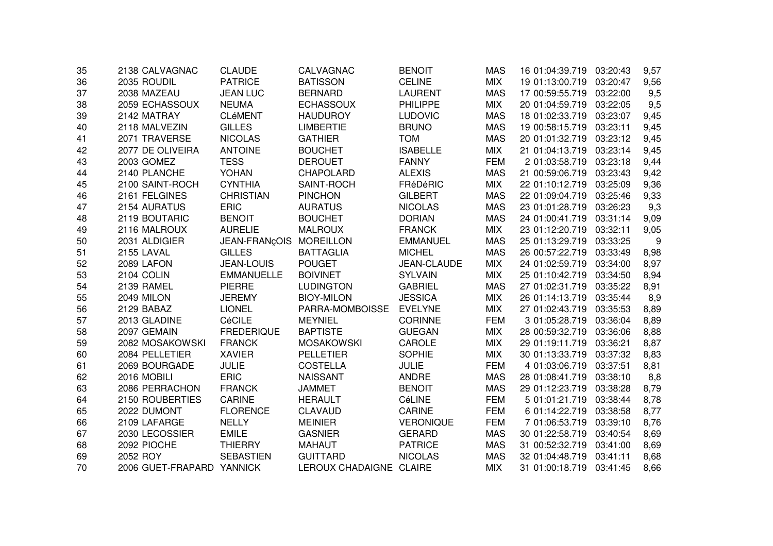| 35 | 2138 CALVAGNAC            | <b>CLAUDE</b>           | CALVAGNAC               | <b>BENOIT</b>    | <b>MAS</b> | 16 01:04:39.719 | 03:20:43 | 9,57 |
|----|---------------------------|-------------------------|-------------------------|------------------|------------|-----------------|----------|------|
| 36 | 2035 ROUDIL               | <b>PATRICE</b>          | <b>BATISSON</b>         | <b>CELINE</b>    | <b>MIX</b> | 19 01:13:00.719 | 03:20:47 | 9,56 |
| 37 | 2038 MAZEAU               | <b>JEAN LUC</b>         | <b>BERNARD</b>          | <b>LAURENT</b>   | <b>MAS</b> | 17 00:59:55.719 | 03:22:00 | 9,5  |
| 38 | 2059 ECHASSOUX            | <b>NEUMA</b>            | <b>ECHASSOUX</b>        | <b>PHILIPPE</b>  | <b>MIX</b> | 20 01:04:59.719 | 03:22:05 | 9,5  |
| 39 | 2142 MATRAY               | <b>CLéMENT</b>          | <b>HAUDUROY</b>         | <b>LUDOVIC</b>   | <b>MAS</b> | 18 01:02:33.719 | 03:23:07 | 9,45 |
| 40 | 2118 MALVEZIN             | <b>GILLES</b>           | <b>LIMBERTIE</b>        | <b>BRUNO</b>     | <b>MAS</b> | 19 00:58:15.719 | 03:23:11 | 9,45 |
| 41 | 2071 TRAVERSE             | <b>NICOLAS</b>          | <b>GATHIER</b>          | <b>TOM</b>       | <b>MAS</b> | 20 01:01:32.719 | 03:23:12 | 9,45 |
| 42 | 2077 DE OLIVEIRA          | <b>ANTOINE</b>          | <b>BOUCHET</b>          | <b>ISABELLE</b>  | <b>MIX</b> | 21 01:04:13.719 | 03:23:14 | 9,45 |
| 43 | 2003 GOMEZ                | <b>TESS</b>             | <b>DEROUET</b>          | <b>FANNY</b>     | <b>FEM</b> | 2 01:03:58.719  | 03:23:18 | 9,44 |
| 44 | 2140 PLANCHE              | <b>YOHAN</b>            | <b>CHAPOLARD</b>        | <b>ALEXIS</b>    | <b>MAS</b> | 21 00:59:06.719 | 03:23:43 | 9,42 |
| 45 | 2100 SAINT-ROCH           | <b>CYNTHIA</b>          | SAINT-ROCH              | <b>FRéDéRIC</b>  | <b>MIX</b> | 22 01:10:12.719 | 03:25:09 | 9,36 |
| 46 | 2161 FELGINES             | <b>CHRISTIAN</b>        | <b>PINCHON</b>          | <b>GILBERT</b>   | <b>MAS</b> | 22 01:09:04.719 | 03:25:46 | 9,33 |
| 47 | 2154 AURATUS              | <b>ERIC</b>             | <b>AURATUS</b>          | <b>NICOLAS</b>   | <b>MAS</b> | 23 01:01:28.719 | 03:26:23 | 9,3  |
| 48 | 2119 BOUTARIC             | <b>BENOIT</b>           | <b>BOUCHET</b>          | <b>DORIAN</b>    | <b>MAS</b> | 24 01:00:41.719 | 03:31:14 | 9,09 |
| 49 | 2116 MALROUX              | <b>AURELIE</b>          | <b>MALROUX</b>          | <b>FRANCK</b>    | <b>MIX</b> | 23 01:12:20.719 | 03:32:11 | 9,05 |
| 50 | 2031 ALDIGIER             | JEAN-FRANÇOIS MOREILLON |                         | <b>EMMANUEL</b>  | <b>MAS</b> | 25 01:13:29.719 | 03:33:25 | 9    |
| 51 | 2155 LAVAL                | <b>GILLES</b>           | <b>BATTAGLIA</b>        | <b>MICHEL</b>    | <b>MAS</b> | 26 00:57:22.719 | 03:33:49 | 8,98 |
| 52 | 2089 LAFON                | <b>JEAN-LOUIS</b>       | <b>POUGET</b>           | JEAN-CLAUDE      | <b>MIX</b> | 24 01:02:59.719 | 03:34:00 | 8,97 |
| 53 | 2104 COLIN                | <b>EMMANUELLE</b>       | <b>BOIVINET</b>         | <b>SYLVAIN</b>   | <b>MIX</b> | 25 01:10:42.719 | 03:34:50 | 8,94 |
| 54 | 2139 RAMEL                | <b>PIERRE</b>           | <b>LUDINGTON</b>        | <b>GABRIEL</b>   | <b>MAS</b> | 27 01:02:31.719 | 03:35:22 | 8,91 |
| 55 | 2049 MILON                | <b>JEREMY</b>           | <b>BIOY-MILON</b>       | <b>JESSICA</b>   | <b>MIX</b> | 26 01:14:13.719 | 03:35:44 | 8,9  |
| 56 | 2129 BABAZ                | <b>LIONEL</b>           | PARRA-MOMBOISSE         | <b>EVELYNE</b>   | <b>MIX</b> | 27 01:02:43.719 | 03:35:53 | 8,89 |
| 57 | 2013 GLADINE              | CéCILE                  | <b>MEYNIEL</b>          | <b>CORINNE</b>   | <b>FEM</b> | 3 01:05:28.719  | 03:36:04 | 8,89 |
| 58 | 2097 GEMAIN               | <b>FREDERIQUE</b>       | <b>BAPTISTE</b>         | <b>GUEGAN</b>    | <b>MIX</b> | 28 00:59:32.719 | 03:36:06 | 8,88 |
| 59 | 2082 MOSAKOWSKI           | <b>FRANCK</b>           | <b>MOSAKOWSKI</b>       | CAROLE           | <b>MIX</b> | 29 01:19:11.719 | 03:36:21 | 8,87 |
| 60 | 2084 PELLETIER            | <b>XAVIER</b>           | <b>PELLETIER</b>        | <b>SOPHIE</b>    | <b>MIX</b> | 30 01:13:33.719 | 03:37:32 | 8,83 |
| 61 | 2069 BOURGADE             | <b>JULIE</b>            | <b>COSTELLA</b>         | <b>JULIE</b>     | <b>FEM</b> | 4 01:03:06.719  | 03:37:51 | 8,81 |
| 62 | 2016 MOBILI               | ERIC                    | <b>NAISSANT</b>         | <b>ANDRE</b>     | <b>MAS</b> | 28 01:08:41.719 | 03:38:10 | 8,8  |
| 63 | 2086 PERRACHON            | <b>FRANCK</b>           | <b>JAMMET</b>           | <b>BENOIT</b>    | <b>MAS</b> | 29 01:12:23.719 | 03:38:28 | 8,79 |
| 64 | 2150 ROUBERTIES           | <b>CARINE</b>           | <b>HERAULT</b>          | CéLINE           | <b>FEM</b> | 5 01:01:21.719  | 03:38:44 | 8,78 |
| 65 | 2022 DUMONT               | <b>FLORENCE</b>         | <b>CLAVAUD</b>          | <b>CARINE</b>    | <b>FEM</b> | 6 01:14:22.719  | 03:38:58 | 8,77 |
| 66 | 2109 LAFARGE              | <b>NELLY</b>            | <b>MEINIER</b>          | <b>VERONIQUE</b> | <b>FEM</b> | 7 01:06:53.719  | 03:39:10 | 8,76 |
| 67 | 2030 LECOSSIER            | <b>EMILE</b>            | <b>GASNIER</b>          | <b>GERARD</b>    | <b>MAS</b> | 30 01:22:58.719 | 03:40:54 | 8,69 |
| 68 | 2092 PIOCHE               | <b>THIERRY</b>          | <b>MAHAUT</b>           | <b>PATRICE</b>   | <b>MAS</b> | 31 00:52:32.719 | 03:41:00 | 8,69 |
| 69 | 2052 ROY                  | <b>SEBASTIEN</b>        | <b>GUITTARD</b>         | <b>NICOLAS</b>   | <b>MAS</b> | 32 01:04:48.719 | 03:41:11 | 8,68 |
| 70 | 2006 GUET-FRAPARD YANNICK |                         | LEROUX CHADAIGNE CLAIRE |                  | <b>MIX</b> | 31 01:00:18.719 | 03:41:45 | 8,66 |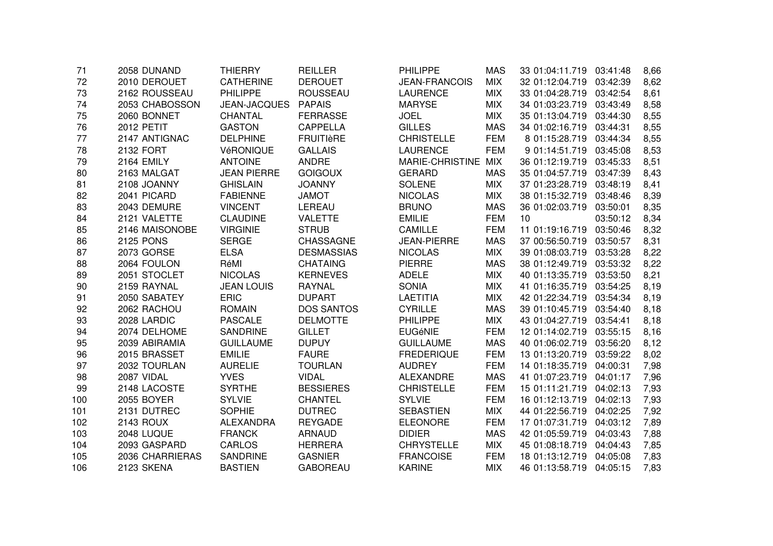| 71  | 2058 DUNAND       | <b>THIERRY</b>      | <b>REILLER</b>    | <b>PHILIPPE</b>      | <b>MAS</b> | 33 01:04:11.719 03:41:48 |          | 8,66 |
|-----|-------------------|---------------------|-------------------|----------------------|------------|--------------------------|----------|------|
| 72  | 2010 DEROUET      | <b>CATHERINE</b>    | <b>DEROUET</b>    | <b>JEAN-FRANCOIS</b> | <b>MIX</b> | 32 01:12:04.719          | 03:42:39 | 8,62 |
| 73  | 2162 ROUSSEAU     | <b>PHILIPPE</b>     | <b>ROUSSEAU</b>   | <b>LAURENCE</b>      | <b>MIX</b> | 33 01:04:28.719          | 03:42:54 | 8,61 |
| 74  | 2053 CHABOSSON    | <b>JEAN-JACQUES</b> | <b>PAPAIS</b>     | <b>MARYSE</b>        | <b>MIX</b> | 34 01:03:23.719          | 03:43:49 | 8,58 |
| 75  | 2060 BONNET       | CHANTAL             | <b>FERRASSE</b>   | <b>JOEL</b>          | <b>MIX</b> | 35 01:13:04.719          | 03:44:30 | 8,55 |
| 76  | <b>2012 PETIT</b> | <b>GASTON</b>       | <b>CAPPELLA</b>   | <b>GILLES</b>        | <b>MAS</b> | 34 01:02:16.719          | 03:44:31 | 8,55 |
| 77  | 2147 ANTIGNAC     | <b>DELPHINE</b>     | <b>FRUITIERE</b>  | <b>CHRISTELLE</b>    | <b>FEM</b> | 8 01:15:28.719           | 03:44:34 | 8,55 |
| 78  | 2132 FORT         | VéRONIQUE           | <b>GALLAIS</b>    | <b>LAURENCE</b>      | <b>FEM</b> | 9 01:14:51.719           | 03:45:08 | 8,53 |
| 79  | <b>2164 EMILY</b> | <b>ANTOINE</b>      | ANDRE             | MARIE-CHRISTINE MIX  |            | 36 01:12:19.719          | 03:45:33 | 8,51 |
| 80  | 2163 MALGAT       | <b>JEAN PIERRE</b>  | <b>GOIGOUX</b>    | <b>GERARD</b>        | <b>MAS</b> | 35 01:04:57.719          | 03:47:39 | 8,43 |
| 81  | 2108 JOANNY       | <b>GHISLAIN</b>     | <b>JOANNY</b>     | <b>SOLENE</b>        | <b>MIX</b> | 37 01:23:28.719          | 03:48:19 | 8,41 |
| 82  | 2041 PICARD       | <b>FABIENNE</b>     | <b>JAMOT</b>      | <b>NICOLAS</b>       | <b>MIX</b> | 38 01:15:32.719          | 03:48:46 | 8,39 |
| 83  | 2043 DEMURE       | <b>VINCENT</b>      | LEREAU            | <b>BRUNO</b>         | <b>MAS</b> | 36 01:02:03.719          | 03:50:01 | 8,35 |
| 84  | 2121 VALETTE      | <b>CLAUDINE</b>     | <b>VALETTE</b>    | <b>EMILIE</b>        | <b>FEM</b> | 10                       | 03:50:12 | 8,34 |
| 85  | 2146 MAISONOBE    | <b>VIRGINIE</b>     | <b>STRUB</b>      | <b>CAMILLE</b>       | <b>FEM</b> | 11 01:19:16.719          | 03:50:46 | 8,32 |
| 86  | <b>2125 PONS</b>  | <b>SERGE</b>        | CHASSAGNE         | <b>JEAN-PIERRE</b>   | <b>MAS</b> | 37 00:56:50.719          | 03:50:57 | 8,31 |
| 87  | 2073 GORSE        | <b>ELSA</b>         | <b>DESMASSIAS</b> | <b>NICOLAS</b>       | <b>MIX</b> | 39 01:08:03.719          | 03:53:28 | 8,22 |
| 88  | 2064 FOULON       | RéMI                | <b>CHATAING</b>   | <b>PIERRE</b>        | <b>MAS</b> | 38 01:12:49.719          | 03:53:32 | 8,22 |
| 89  | 2051 STOCLET      | <b>NICOLAS</b>      | <b>KERNEVES</b>   | <b>ADELE</b>         | <b>MIX</b> | 40 01:13:35.719          | 03:53:50 | 8,21 |
| 90  | 2159 RAYNAL       | <b>JEAN LOUIS</b>   | <b>RAYNAL</b>     | <b>SONIA</b>         | <b>MIX</b> | 41 01:16:35.719          | 03:54:25 | 8,19 |
| 91  | 2050 SABATEY      | <b>ERIC</b>         | <b>DUPART</b>     | <b>LAETITIA</b>      | <b>MIX</b> | 42 01:22:34.719          | 03:54:34 | 8,19 |
| 92  | 2062 RACHOU       | <b>ROMAIN</b>       | <b>DOS SANTOS</b> | <b>CYRILLE</b>       | <b>MAS</b> | 39 01:10:45.719          | 03:54:40 | 8,18 |
| 93  | 2028 LARDIC       | <b>PASCALE</b>      | <b>DELMOTTE</b>   | <b>PHILIPPE</b>      | <b>MIX</b> | 43 01:04:27.719          | 03:54:41 | 8,18 |
| 94  | 2074 DELHOME      | <b>SANDRINE</b>     | <b>GILLET</b>     | <b>EUGéNIE</b>       | <b>FEM</b> | 12 01:14:02.719          | 03:55:15 | 8,16 |
| 95  | 2039 ABIRAMIA     | <b>GUILLAUME</b>    | <b>DUPUY</b>      | <b>GUILLAUME</b>     | <b>MAS</b> | 40 01:06:02.719          | 03:56:20 | 8,12 |
| 96  | 2015 BRASSET      | <b>EMILIE</b>       | <b>FAURE</b>      | <b>FREDERIQUE</b>    | <b>FEM</b> | 13 01:13:20.719          | 03:59:22 | 8,02 |
| 97  | 2032 TOURLAN      | <b>AURELIE</b>      | <b>TOURLAN</b>    | <b>AUDREY</b>        | <b>FEM</b> | 14 01:18:35.719          | 04:00:31 | 7,98 |
| 98  | 2087 VIDAL        | <b>YVES</b>         | <b>VIDAL</b>      | <b>ALEXANDRE</b>     | <b>MAS</b> | 41 01:07:23.719          | 04:01:17 | 7,96 |
| 99  | 2148 LACOSTE      | <b>SYRTHE</b>       | <b>BESSIERES</b>  | <b>CHRISTELLE</b>    | <b>FEM</b> | 15 01:11:21.719          | 04:02:13 | 7,93 |
| 100 | 2055 BOYER        | <b>SYLVIE</b>       | <b>CHANTEL</b>    | <b>SYLVIE</b>        | <b>FEM</b> | 16 01:12:13.719          | 04:02:13 | 7,93 |
| 101 | 2131 DUTREC       | <b>SOPHIE</b>       | <b>DUTREC</b>     | <b>SEBASTIEN</b>     | <b>MIX</b> | 44 01:22:56.719          | 04:02:25 | 7,92 |
| 102 | <b>2143 ROUX</b>  | <b>ALEXANDRA</b>    | <b>REYGADE</b>    | <b>ELEONORE</b>      | <b>FEM</b> | 17 01:07:31.719          | 04:03:12 | 7,89 |
| 103 | 2048 LUQUE        | <b>FRANCK</b>       | <b>ARNAUD</b>     | <b>DIDIER</b>        | <b>MAS</b> | 42 01:05:59.719          | 04:03:43 | 7,88 |
| 104 | 2093 GASPARD      | <b>CARLOS</b>       | <b>HERRERA</b>    | <b>CHRYSTELLE</b>    | <b>MIX</b> | 45 01:08:18.719          | 04:04:43 | 7,85 |
| 105 | 2036 CHARRIERAS   | <b>SANDRINE</b>     | <b>GASNIER</b>    | <b>FRANCOISE</b>     | <b>FEM</b> | 18 01:13:12.719          | 04:05:08 | 7,83 |
| 106 | 2123 SKENA        | <b>BASTIEN</b>      | <b>GABOREAU</b>   | <b>KARINE</b>        | <b>MIX</b> | 46 01:13:58.719          | 04:05:15 | 7,83 |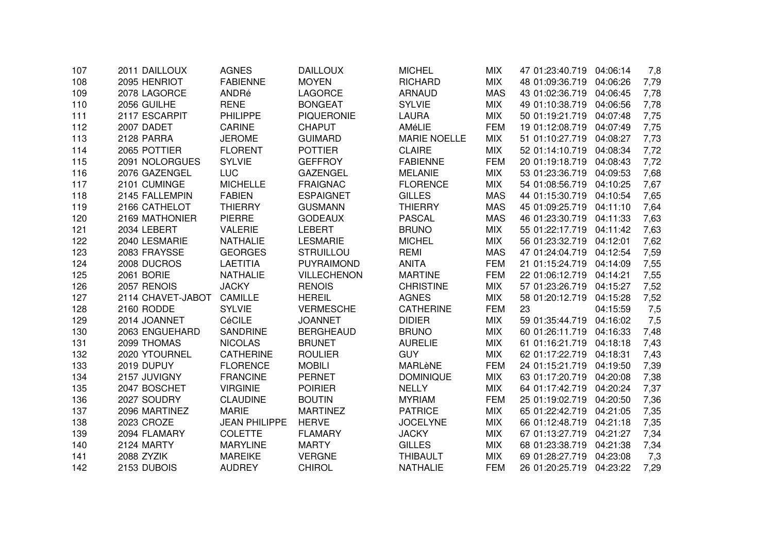| 107 | 2011 DAILLOUX     | <b>AGNES</b>         | <b>DAILLOUX</b>    | <b>MICHEL</b>       | <b>MIX</b> | 47 01:23:40.719 | 04:06:14 | 7,8  |
|-----|-------------------|----------------------|--------------------|---------------------|------------|-----------------|----------|------|
| 108 | 2095 HENRIOT      | <b>FABIENNE</b>      | <b>MOYEN</b>       | <b>RICHARD</b>      | <b>MIX</b> | 48 01:09:36.719 | 04:06:26 | 7,79 |
| 109 | 2078 LAGORCE      | ANDRé                | <b>LAGORCE</b>     | <b>ARNAUD</b>       | <b>MAS</b> | 43 01:02:36.719 | 04:06:45 | 7,78 |
| 110 | 2056 GUILHE       | <b>RENE</b>          | <b>BONGEAT</b>     | <b>SYLVIE</b>       | <b>MIX</b> | 49 01:10:38.719 | 04:06:56 | 7,78 |
| 111 | 2117 ESCARPIT     | <b>PHILIPPE</b>      | <b>PIQUERONIE</b>  | <b>LAURA</b>        | <b>MIX</b> | 50 01:19:21.719 | 04:07:48 | 7,75 |
| 112 | 2007 DADET        | <b>CARINE</b>        | <b>CHAPUT</b>      | AMéLIE              | <b>FEM</b> | 19 01:12:08.719 | 04:07:49 | 7,75 |
| 113 | 2128 PARRA        | <b>JEROME</b>        | <b>GUIMARD</b>     | <b>MARIE NOELLE</b> | <b>MIX</b> | 51 01:10:27.719 | 04:08:27 | 7,73 |
| 114 | 2065 POTTIER      | <b>FLORENT</b>       | <b>POTTIER</b>     | <b>CLAIRE</b>       | <b>MIX</b> | 52 01:14:10.719 | 04:08:34 | 7,72 |
| 115 | 2091 NOLORGUES    | <b>SYLVIE</b>        | <b>GEFFROY</b>     | <b>FABIENNE</b>     | <b>FEM</b> | 20 01:19:18.719 | 04:08:43 | 7,72 |
| 116 | 2076 GAZENGEL     | <b>LUC</b>           | <b>GAZENGEL</b>    | <b>MELANIE</b>      | <b>MIX</b> | 53 01:23:36.719 | 04:09:53 | 7,68 |
| 117 | 2101 CUMINGE      | <b>MICHELLE</b>      | <b>FRAIGNAC</b>    | <b>FLORENCE</b>     | <b>MIX</b> | 54 01:08:56.719 | 04:10:25 | 7,67 |
| 118 | 2145 FALLEMPIN    | <b>FABIEN</b>        | <b>ESPAIGNET</b>   | <b>GILLES</b>       | <b>MAS</b> | 44 01:15:30.719 | 04:10:54 | 7,65 |
| 119 | 2166 CATHELOT     | <b>THIERRY</b>       | <b>GUSMANN</b>     | <b>THIERRY</b>      | <b>MAS</b> | 45 01:09:25.719 | 04:11:10 | 7,64 |
| 120 | 2169 MATHONIER    | <b>PIERRE</b>        | <b>GODEAUX</b>     | <b>PASCAL</b>       | <b>MAS</b> | 46 01:23:30.719 | 04:11:33 | 7,63 |
| 121 | 2034 LEBERT       | <b>VALERIE</b>       | <b>LEBERT</b>      | <b>BRUNO</b>        | <b>MIX</b> | 55 01:22:17.719 | 04:11:42 | 7,63 |
| 122 | 2040 LESMARIE     | <b>NATHALIE</b>      | <b>LESMARIE</b>    | <b>MICHEL</b>       | <b>MIX</b> | 56 01:23:32.719 | 04:12:01 | 7,62 |
| 123 | 2083 FRAYSSE      | <b>GEORGES</b>       | <b>STRUILLOU</b>   | <b>REMI</b>         | <b>MAS</b> | 47 01:24:04.719 | 04:12:54 | 7,59 |
| 124 | 2008 DUCROS       | <b>LAETITIA</b>      | <b>PUYRAIMOND</b>  | <b>ANITA</b>        | <b>FEM</b> | 21 01:15:24.719 | 04:14:09 | 7,55 |
| 125 | 2061 BORIE        | <b>NATHALIE</b>      | <b>VILLECHENON</b> | <b>MARTINE</b>      | <b>FEM</b> | 22 01:06:12.719 | 04:14:21 | 7,55 |
| 126 | 2057 RENOIS       | <b>JACKY</b>         | <b>RENOIS</b>      | <b>CHRISTINE</b>    | <b>MIX</b> | 57 01:23:26.719 | 04:15:27 | 7,52 |
| 127 | 2114 CHAVET-JABOT | <b>CAMILLE</b>       | <b>HEREIL</b>      | <b>AGNES</b>        | <b>MIX</b> | 58 01:20:12.719 | 04:15:28 | 7,52 |
| 128 | 2160 RODDE        | <b>SYLVIE</b>        | <b>VERMESCHE</b>   | <b>CATHERINE</b>    | <b>FEM</b> | 23              | 04:15:59 | 7,5  |
| 129 | 2014 JOANNET      | CéCILE               | <b>JOANNET</b>     | <b>DIDIER</b>       | <b>MIX</b> | 59 01:35:44.719 | 04:16:02 | 7,5  |
| 130 | 2063 ENGUEHARD    | <b>SANDRINE</b>      | <b>BERGHEAUD</b>   | <b>BRUNO</b>        | <b>MIX</b> | 60 01:26:11.719 | 04:16:33 | 7,48 |
| 131 | 2099 THOMAS       | <b>NICOLAS</b>       | <b>BRUNET</b>      | <b>AURELIE</b>      | <b>MIX</b> | 61 01:16:21.719 | 04:18:18 | 7,43 |
| 132 | 2020 YTOURNEL     | <b>CATHERINE</b>     | <b>ROULIER</b>     | <b>GUY</b>          | <b>MIX</b> | 62 01:17:22.719 | 04:18:31 | 7,43 |
| 133 | 2019 DUPUY        | <b>FLORENCE</b>      | <b>MOBILI</b>      | MARLèNE             | <b>FEM</b> | 24 01:15:21.719 | 04:19:50 | 7,39 |
| 134 | 2157 JUVIGNY      | <b>FRANCINE</b>      | <b>PERNET</b>      | <b>DOMINIQUE</b>    | <b>MIX</b> | 63 01:17:20.719 | 04:20:08 | 7,38 |
| 135 | 2047 BOSCHET      | <b>VIRGINIE</b>      | <b>POIRIER</b>     | <b>NELLY</b>        | <b>MIX</b> | 64 01:17:42.719 | 04:20:24 | 7,37 |
| 136 | 2027 SOUDRY       | <b>CLAUDINE</b>      | <b>BOUTIN</b>      | <b>MYRIAM</b>       | <b>FEM</b> | 25 01:19:02.719 | 04:20:50 | 7,36 |
| 137 | 2096 MARTINEZ     | <b>MARIE</b>         | <b>MARTINEZ</b>    | <b>PATRICE</b>      | <b>MIX</b> | 65 01:22:42.719 | 04:21:05 | 7,35 |
| 138 | 2023 CROZE        | <b>JEAN PHILIPPE</b> | <b>HERVE</b>       | <b>JOCELYNE</b>     | <b>MIX</b> | 66 01:12:48.719 | 04:21:18 | 7,35 |
| 139 | 2094 FLAMARY      | <b>COLETTE</b>       | <b>FLAMARY</b>     | <b>JACKY</b>        | <b>MIX</b> | 67 01:13:27.719 | 04:21:27 | 7,34 |
| 140 | 2124 MARTY        | <b>MARYLINE</b>      | <b>MARTY</b>       | <b>GILLES</b>       | <b>MIX</b> | 68 01:23:38.719 | 04:21:38 | 7,34 |
| 141 | 2088 ZYZIK        | <b>MAREIKE</b>       | <b>VERGNE</b>      | <b>THIBAULT</b>     | <b>MIX</b> | 69 01:28:27.719 | 04:23:08 | 7,3  |
| 142 | 2153 DUBOIS       | <b>AUDREY</b>        | <b>CHIROL</b>      | <b>NATHALIE</b>     | <b>FEM</b> | 26 01:20:25.719 | 04:23:22 | 7,29 |